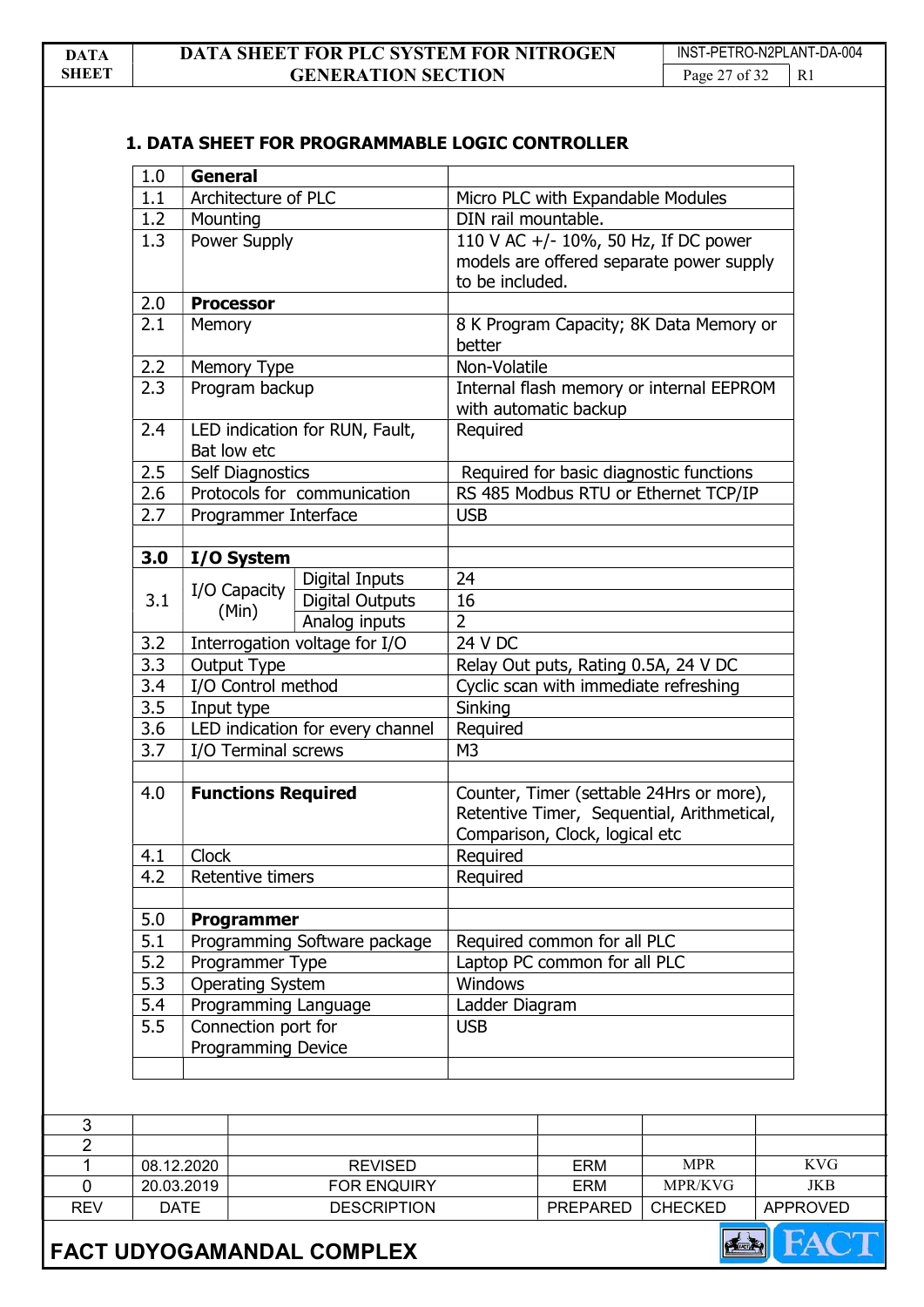# 1. DATA SHEET FOR PROGRAMMABLE LOGIC CONTROLLER

| 1.0                      | <b>General</b>                                   |                               |                              |                                         |                                                                                        |                 |
|--------------------------|--------------------------------------------------|-------------------------------|------------------------------|-----------------------------------------|----------------------------------------------------------------------------------------|-----------------|
| 1.1                      | Architecture of PLC                              |                               |                              | Micro PLC with Expandable Modules       |                                                                                        |                 |
| 1.2                      | Mounting                                         |                               | DIN rail mountable.          |                                         |                                                                                        |                 |
| 1.3                      | Power Supply                                     |                               | to be included.              |                                         | 110 V AC +/- 10%, 50 Hz, If DC power<br>models are offered separate power supply       |                 |
| 2.0                      | <b>Processor</b>                                 |                               |                              |                                         |                                                                                        |                 |
| 2.1                      | <b>Memory</b>                                    |                               | better                       |                                         | 8 K Program Capacity; 8K Data Memory or                                                |                 |
| 2.2                      | Memory Type                                      |                               | Non-Volatile                 |                                         |                                                                                        |                 |
| 2.3                      | Program backup                                   |                               |                              | with automatic backup                   | Internal flash memory or internal EEPROM                                               |                 |
| 2.4                      | LED indication for RUN, Fault,<br>Bat low etc    |                               | Required                     |                                         |                                                                                        |                 |
| 2.5                      | Self Diagnostics                                 |                               |                              | Required for basic diagnostic functions |                                                                                        |                 |
| 2.6                      |                                                  | Protocols for communication   |                              |                                         | RS 485 Modbus RTU or Ethernet TCP/IP                                                   |                 |
| 2.7                      | Programmer Interface                             |                               | <b>USB</b>                   |                                         |                                                                                        |                 |
| 3.0                      | I/O System                                       |                               |                              |                                         |                                                                                        |                 |
|                          |                                                  | Digital Inputs                | 24                           |                                         |                                                                                        |                 |
| 3.1                      | I/O Capacity                                     | <b>Digital Outputs</b>        | 16                           |                                         |                                                                                        |                 |
|                          | (Min)                                            | Analog inputs                 | $\overline{2}$               |                                         |                                                                                        |                 |
| 3.2                      |                                                  | Interrogation voltage for I/O | 24 V DC                      |                                         |                                                                                        |                 |
| 3.3                      | Output Type                                      |                               |                              | Relay Out puts, Rating 0.5A, 24 V DC    |                                                                                        |                 |
| 3.4                      | I/O Control method                               |                               |                              | Cyclic scan with immediate refreshing   |                                                                                        |                 |
| 3.5                      | Input type                                       |                               | Sinking                      |                                         |                                                                                        |                 |
| 3.6                      | LED indication for every channel                 |                               | Required                     |                                         |                                                                                        |                 |
| 3.7                      | I/O Terminal screws                              |                               | M <sub>3</sub>               |                                         |                                                                                        |                 |
| 4.0                      | <b>Functions Required</b>                        |                               |                              | Comparison, Clock, logical etc          | Counter, Timer (settable 24Hrs or more),<br>Retentive Timer, Sequential, Arithmetical, |                 |
| 4.1                      | <b>Clock</b>                                     |                               | Required                     |                                         |                                                                                        |                 |
| 4.2                      | Retentive timers                                 |                               | Required                     |                                         |                                                                                        |                 |
| 5.0                      | Programmer                                       |                               |                              |                                         |                                                                                        |                 |
| 5.1                      |                                                  | Programming Software package  | Required common for all PLC  |                                         |                                                                                        |                 |
| 5.2                      | Programmer Type                                  |                               | Laptop PC common for all PLC |                                         |                                                                                        |                 |
| 5.3                      | <b>Operating System</b>                          |                               | Windows                      |                                         |                                                                                        |                 |
| 5.4                      | Programming Language                             |                               | Ladder Diagram               |                                         |                                                                                        |                 |
| 5.5                      | Connection port for<br><b>Programming Device</b> |                               | <b>USB</b>                   |                                         |                                                                                        |                 |
|                          |                                                  |                               |                              |                                         |                                                                                        |                 |
|                          |                                                  | <b>REVISED</b>                |                              | ERM                                     | <b>MPR</b>                                                                             | <b>KVG</b>      |
| 08.12.2020<br>20.03.2019 |                                                  | FOR ENQUIRY                   |                              | ERM                                     | MPR/KVG                                                                                | <b>JKB</b>      |
| <b>DATE</b>              |                                                  |                               |                              | PREPARED                                | <b>CHECKED</b>                                                                         | <b>APPROVED</b> |
|                          |                                                  | <b>DESCRIPTION</b>            |                              |                                         |                                                                                        |                 |



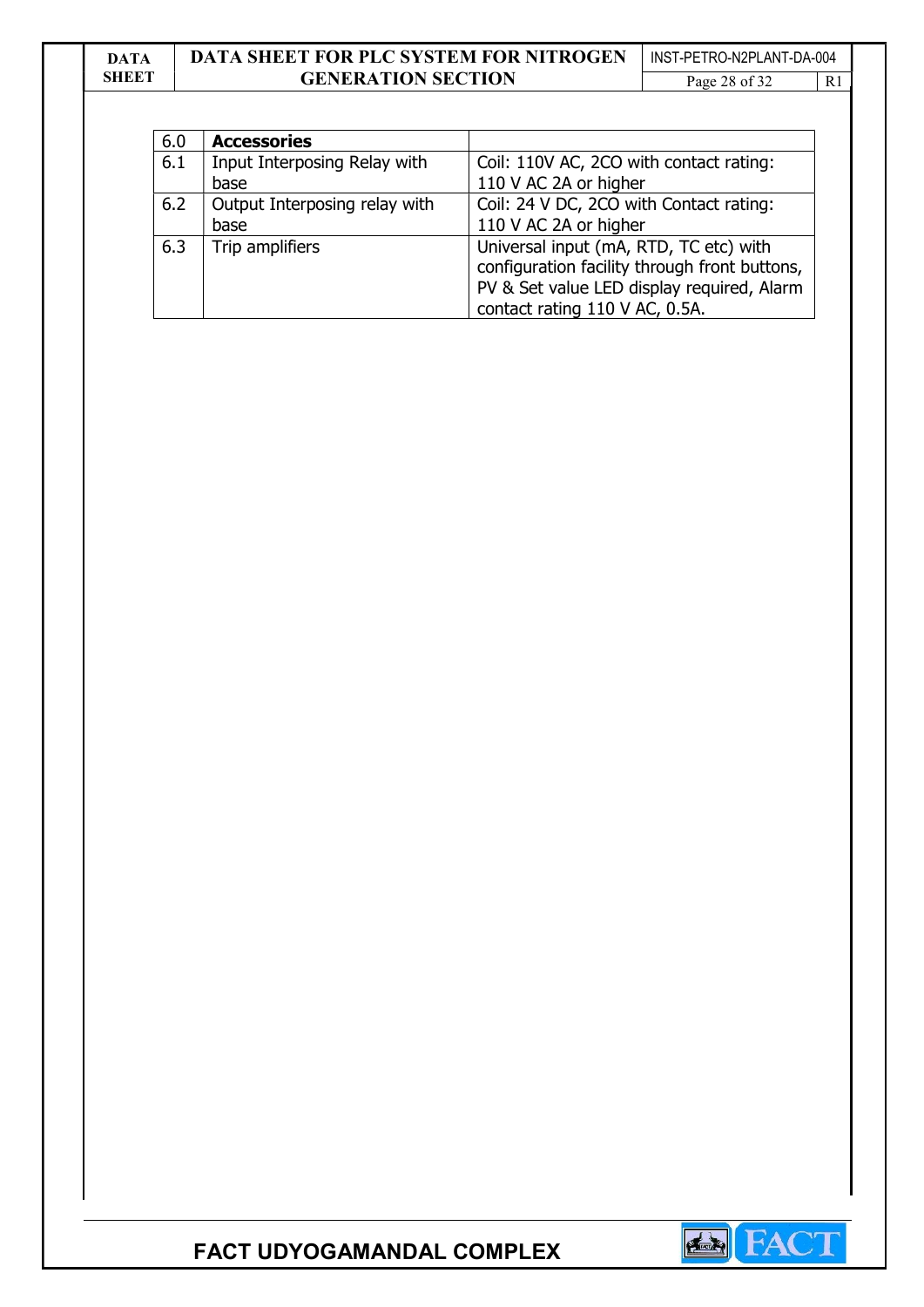### DATA **SHEET** DATA SHEET FOR PLC SYSTEM FOR NITROGEN GENERATION SECTION INST-PETRO-N2PLANT-DA-004 Page 28 of 32 R1

| 6.0 | <b>Accessories</b>            |                                               |
|-----|-------------------------------|-----------------------------------------------|
| 6.1 | Input Interposing Relay with  | Coil: 110V AC, 2CO with contact rating:       |
|     | base                          | 110 V AC 2A or higher                         |
| 6.2 | Output Interposing relay with | Coil: 24 V DC, 2CO with Contact rating:       |
|     | base                          | 110 V AC 2A or higher                         |
| 6.3 | Trip amplifiers               | Universal input (mA, RTD, TC etc) with        |
|     |                               | configuration facility through front buttons, |
|     |                               | PV & Set value LED display required, Alarm    |
|     |                               | contact rating 110 V AC, 0.5A.                |

FACT UDYOGAMANDAL COMPLEX

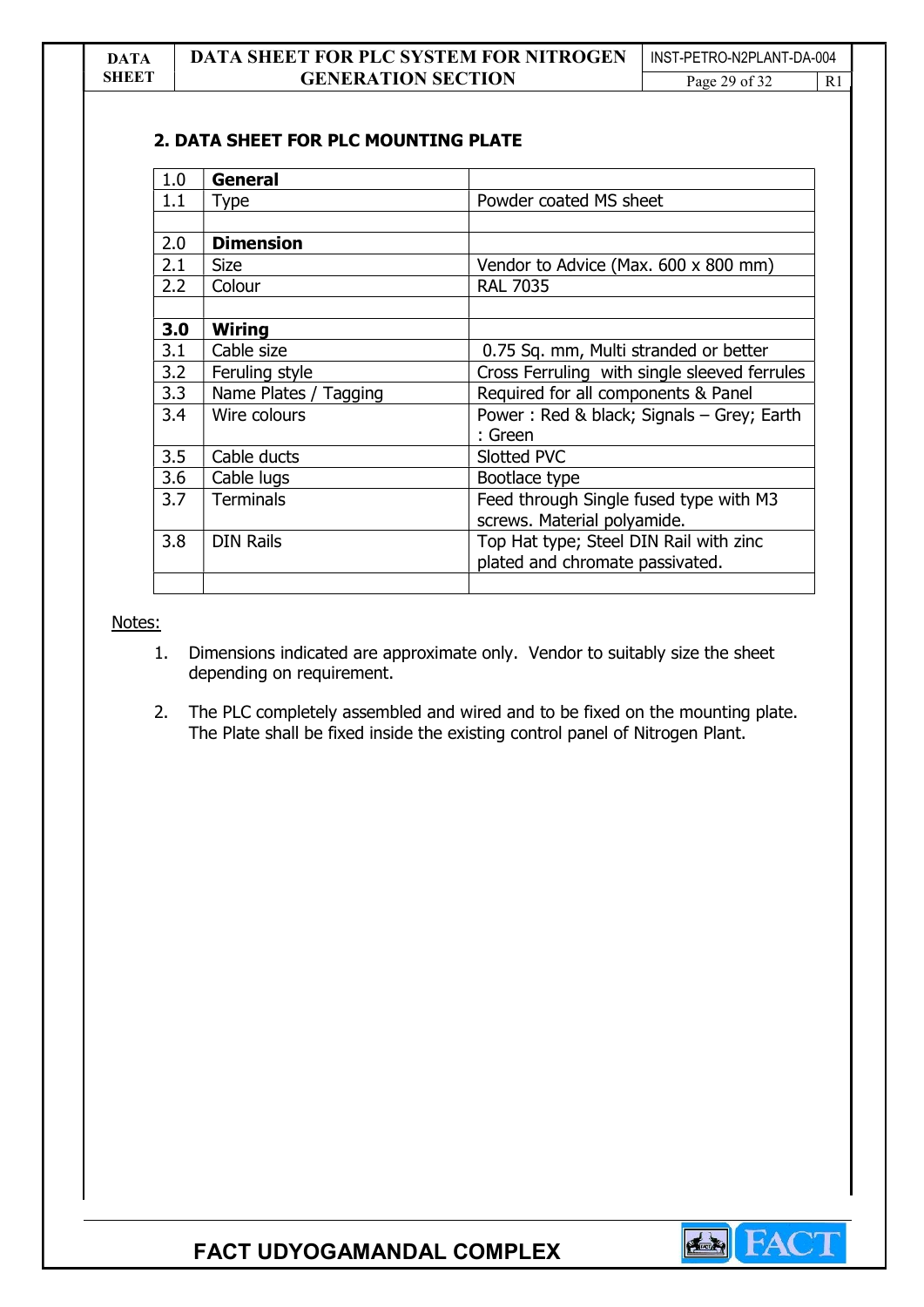### 2. DATA SHEET FOR PLC MOUNTING PLATE

| 1.0 | General               |                                              |
|-----|-----------------------|----------------------------------------------|
| 1.1 | <b>Type</b>           | Powder coated MS sheet                       |
|     |                       |                                              |
| 2.0 | <b>Dimension</b>      |                                              |
| 2.1 | <b>Size</b>           | Vendor to Advice (Max. 600 x 800 mm)         |
| 2.2 | Colour                | <b>RAL 7035</b>                              |
|     |                       |                                              |
| 3.0 | <b>Wiring</b>         |                                              |
| 3.1 | Cable size            | 0.75 Sq. mm, Multi stranded or better        |
| 3.2 | Feruling style        | Cross Ferruling with single sleeved ferrules |
| 3.3 | Name Plates / Tagging | Required for all components & Panel          |
| 3.4 | Wire colours          | Power: Red & black; Signals - Grey; Earth    |
|     |                       | : Green                                      |
| 3.5 | Cable ducts           | Slotted PVC                                  |
| 3.6 | Cable lugs            | Bootlace type                                |
| 3.7 | <b>Terminals</b>      | Feed through Single fused type with M3       |
|     |                       | screws. Material polyamide.                  |
| 3.8 | <b>DIN Rails</b>      | Top Hat type; Steel DIN Rail with zinc       |
|     |                       | plated and chromate passivated.              |
|     |                       |                                              |

Notes:

- 1. Dimensions indicated are approximate only. Vendor to suitably size the sheet depending on requirement.
- 2. The PLC completely assembled and wired and to be fixed on the mounting plate. The Plate shall be fixed inside the existing control panel of Nitrogen Plant.